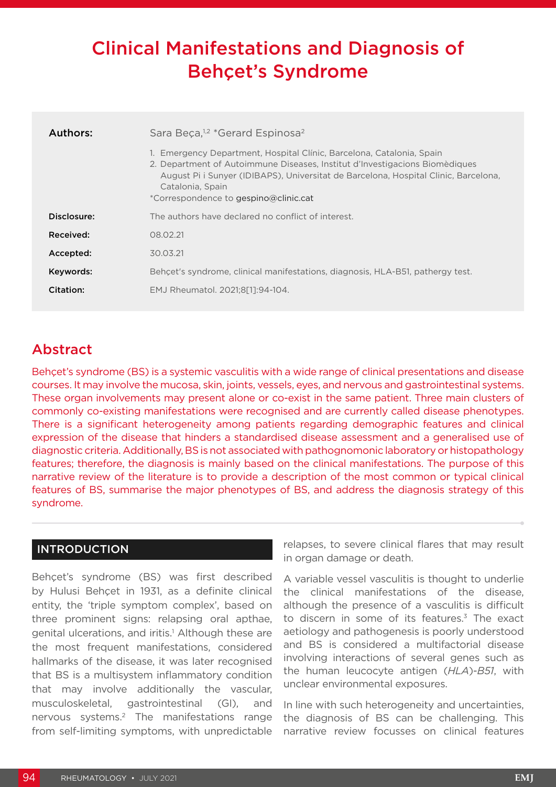# Clinical Manifestations and Diagnosis of Behçet's Syndrome

| Authors:    | Sara Beça, <sup>1,2</sup> *Gerard Espinosa <sup>2</sup>                                                                                                                                                                                                                                               |  |  |  |  |  |  |
|-------------|-------------------------------------------------------------------------------------------------------------------------------------------------------------------------------------------------------------------------------------------------------------------------------------------------------|--|--|--|--|--|--|
|             | Emergency Department, Hospital Clínic, Barcelona, Catalonia, Spain<br>2. Department of Autoimmune Diseases, Institut d'Investigacions Biomèdiques<br>August Pi i Sunyer (IDIBAPS), Universitat de Barcelona, Hospital Clinic, Barcelona,<br>Catalonia, Spain<br>*Correspondence to gespino@clinic.cat |  |  |  |  |  |  |
| Disclosure: | The authors have declared no conflict of interest.                                                                                                                                                                                                                                                    |  |  |  |  |  |  |
| Received:   | 08.02.21                                                                                                                                                                                                                                                                                              |  |  |  |  |  |  |
| Accepted:   | 30.03.21                                                                                                                                                                                                                                                                                              |  |  |  |  |  |  |
| Keywords:   | Behçet's syndrome, clinical manifestations, diagnosis, HLA-B51, pathergy test.                                                                                                                                                                                                                        |  |  |  |  |  |  |
| Citation:   | EMJ Rheumatol. 2021:8[11:94-104.                                                                                                                                                                                                                                                                      |  |  |  |  |  |  |

# Abstract

Behçet's syndrome (BS) is a systemic vasculitis with a wide range of clinical presentations and disease courses. It may involve the mucosa, skin, joints, vessels, eyes, and nervous and gastrointestinal systems. These organ involvements may present alone or co-exist in the same patient. Three main clusters of commonly co-existing manifestations were recognised and are currently called disease phenotypes. There is a significant heterogeneity among patients regarding demographic features and clinical expression of the disease that hinders a standardised disease assessment and a generalised use of diagnostic criteria. Additionally, BS is not associated with pathognomonic laboratory or histopathology features; therefore, the diagnosis is mainly based on the clinical manifestations. The purpose of this narrative review of the literature is to provide a description of the most common or typical clinical features of BS, summarise the major phenotypes of BS, and address the diagnosis strategy of this syndrome.

# INTRODUCTION

Behçet's syndrome (BS) was first described by Hulusi Behçet in 1931, as a definite clinical entity, the 'triple symptom complex', based on three prominent signs: relapsing oral apthae, genital ulcerations, and iritis.<sup>1</sup> Although these are the most frequent manifestations, considered hallmarks of the disease, it was later recognised that BS is a multisystem inflammatory condition that may involve additionally the vascular, musculoskeletal, gastrointestinal (GI), and nervous systems.2 The manifestations range from self-limiting symptoms, with unpredictable

relapses, to severe clinical flares that may result in organ damage or death.

A variable vessel vasculitis is thought to underlie the clinical manifestations of the disease, although the presence of a vasculitis is difficult to discern in some of its features. $3$  The exact aetiology and pathogenesis is poorly understood and BS is considered a multifactorial disease involving interactions of several genes such as the human leucocyte antigen (*HLA*)-*B51*, with unclear environmental exposures.

In line with such heterogeneity and uncertainties, the diagnosis of BS can be challenging. This narrative review focusses on clinical features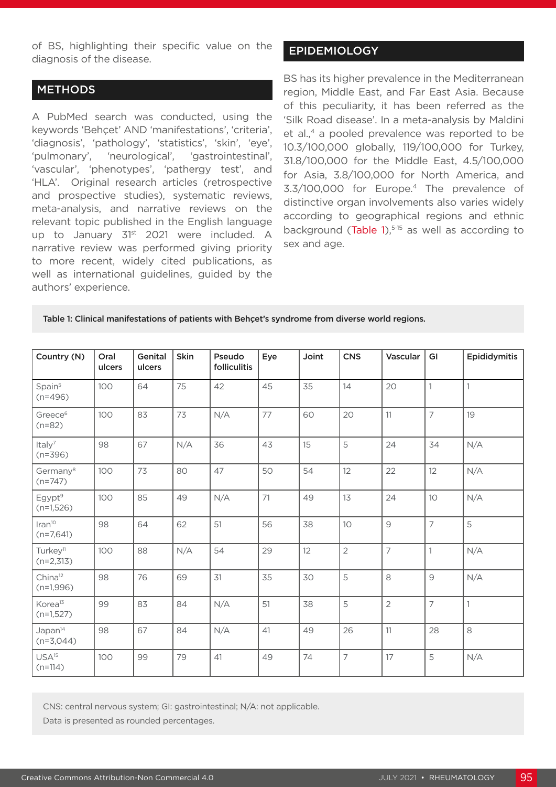of BS, highlighting their specific value on the diagnosis of the disease.

#### **METHODS**

A PubMed search was conducted, using the keywords 'Behçet' AND 'manifestations', 'criteria', 'diagnosis', 'pathology', 'statistics', 'skin', 'eye', 'pulmonary', 'neurological', 'gastrointestinal', 'vascular', 'phenotypes', 'pathergy test', and 'HLA'. Original research articles (retrospective and prospective studies), systematic reviews, meta-analysis, and narrative reviews on the relevant topic published in the English language up to January 31<sup>st</sup> 2021 were included. A narrative review was performed giving priority to more recent, widely cited publications, as well as international guidelines, guided by the authors' experience.

# EPIDEMIOLOGY

BS has its higher prevalence in the Mediterranean region, Middle East, and Far East Asia. Because of this peculiarity, it has been referred as the 'Silk Road disease'. In a meta-analysis by Maldini et al.,<sup>4</sup> a pooled prevalence was reported to be 10.3/100,000 globally, 119/100,000 for Turkey, 31.8/100,000 for the Middle East, 4.5/100,000 for Asia, 3.8/100,000 for North America, and 3.3/100,000 for Europe.4 The prevalence of distinctive organ involvements also varies widely according to geographical regions and ethnic background (Table 1), $5-15$  as well as according to sex and age.

#### Table 1: Clinical manifestations of patients with Behçet's syndrome from diverse world regions.

| Country (N)                         | Oral<br>ulcers | Genital<br>ulcers | <b>Skin</b> | Pseudo<br>folliculitis | Eye | Joint | <b>CNS</b>     | Vascular       | GI             | Epididymitis   |
|-------------------------------------|----------------|-------------------|-------------|------------------------|-----|-------|----------------|----------------|----------------|----------------|
| Spain <sup>5</sup><br>$(n=496)$     | 100            | 64                | 75          | 42                     | 45  | 35    | 14             | 20             |                |                |
| Greece <sup>6</sup><br>$(n=82)$     | 100            | 83                | 73          | N/A                    | 77  | 60    | 20             | 11             | $\overline{7}$ | 19             |
| Italy <sup>7</sup><br>$(n=396)$     | 98             | 67                | N/A         | 36                     | 43  | 15    | 5              | 24             | 34             | N/A            |
| Germany <sup>8</sup><br>$(n=747)$   | 100            | 73                | 80          | 47                     | 50  | 54    | 12             | 22             | 12             | N/A            |
| Egypt <sup>9</sup><br>$(n=1,526)$   | 100            | 85                | 49          | N/A                    | 71  | 49    | 13             | 24             | 10             | N/A            |
| $Iran^{10}$<br>$(n=7,641)$          | 98             | 64                | 62          | 51                     | 56  | 38    | 10             | $\mathcal{G}$  | $\overline{7}$ | 5              |
| Turkey <sup>11</sup><br>$(n=2,313)$ | 100            | 88                | N/A         | 54                     | 29  | 12    | $\overline{2}$ | $\overline{7}$ | $\mathbf{1}$   | N/A            |
| China <sup>12</sup><br>$(n=1,996)$  | 98             | 76                | 69          | 31                     | 35  | 30    | 5              | 8              | $\overline{9}$ | N/A            |
| Korea <sup>13</sup><br>$(n=1,527)$  | 99             | 83                | 84          | N/A                    | 51  | 38    | 5              | $\overline{2}$ | $\overline{7}$ | $\overline{1}$ |
| Japan <sup>14</sup><br>$(n=3,044)$  | 98             | 67                | 84          | N/A                    | 41  | 49    | 26             | 11             | 28             | 8              |
| USA <sup>15</sup><br>$(n=114)$      | 100            | 99                | 79          | 41                     | 49  | 74    | $\overline{7}$ | 17             | 5              | N/A            |

CNS: central nervous system; GI: gastrointestinal; N/A: not applicable.

Data is presented as rounded percentages.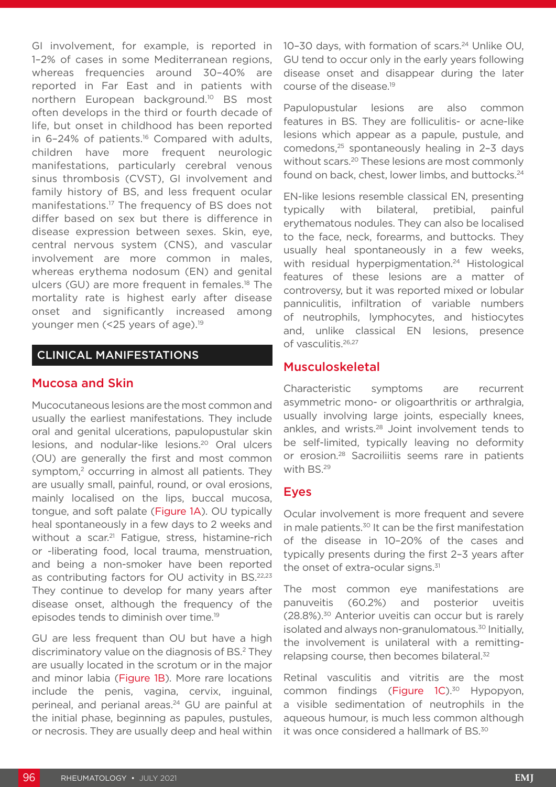GI involvement, for example, is reported in 1–2% of cases in some Mediterranean regions, whereas frequencies around 30–40% are reported in Far East and in patients with northern European background.10 BS most often develops in the third or fourth decade of life, but onset in childhood has been reported in 6-24% of patients.<sup>16</sup> Compared with adults, children have more frequent neurologic manifestations, particularly cerebral venous sinus thrombosis (CVST), GI involvement and family history of BS, and less frequent ocular manifestations.17 The frequency of BS does not differ based on sex but there is difference in disease expression between sexes. Skin, eye, central nervous system (CNS), and vascular involvement are more common in males, whereas erythema nodosum (EN) and genital ulcers (GU) are more frequent in females.<sup>18</sup> The mortality rate is highest early after disease onset and significantly increased among younger men (<25 years of age).<sup>19</sup>

#### CLINICAL MANIFESTATIONS

#### Mucosa and Skin

Mucocutaneous lesions are the most common and usually the earliest manifestations. They include oral and genital ulcerations, papulopustular skin lesions, and nodular-like lesions.20 Oral ulcers (OU) are generally the first and most common symptom,<sup>2</sup> occurring in almost all patients. They are usually small, painful, round, or oval erosions, mainly localised on the lips, buccal mucosa, tongue, and soft palate (Figure 1A). OU typically heal spontaneously in a few days to 2 weeks and without a scar.<sup>21</sup> Fatigue, stress, histamine-rich or -liberating food, local trauma, menstruation, and being a non-smoker have been reported as contributing factors for OU activity in BS.22,23 They continue to develop for many years after disease onset, although the frequency of the episodes tends to diminish over time.19

GU are less frequent than OU but have a high discriminatory value on the diagnosis of BS.2 They are usually located in the scrotum or in the major and minor labia (Figure 1B). More rare locations include the penis, vagina, cervix, inguinal, perineal, and perianal areas.<sup>24</sup> GU are painful at the initial phase, beginning as papules, pustules, or necrosis. They are usually deep and heal within 10-30 days, with formation of scars.<sup>24</sup> Unlike OU, GU tend to occur only in the early years following disease onset and disappear during the later course of the disease.19

Papulopustular lesions are also common features in BS. They are folliculitis- or acne-like lesions which appear as a papule, pustule, and comedons,<sup>25</sup> spontaneously healing in 2-3 days without scars.20 These lesions are most commonly found on back, chest, lower limbs, and buttocks.<sup>24</sup>

EN-like lesions resemble classical EN, presenting typically with bilateral, pretibial, painful erythematous nodules. They can also be localised to the face, neck, forearms, and buttocks. They usually heal spontaneously in a few weeks, with residual hyperpigmentation.<sup>24</sup> Histological features of these lesions are a matter of controversy, but it was reported mixed or lobular panniculitis, infiltration of variable numbers of neutrophils, lymphocytes, and histiocytes and, unlike classical EN lesions, presence of vasculitis.26,27

## Musculoskeletal

Characteristic symptoms are recurrent asymmetric mono- or oligoarthritis or arthralgia, usually involving large joints, especially knees, ankles, and wrists.28 Joint involvement tends to be self-limited, typically leaving no deformity or erosion.28 Sacroiliitis seems rare in patients with BS.29

## Eyes

Ocular involvement is more frequent and severe in male patients.<sup>30</sup> It can be the first manifestation of the disease in 10–20% of the cases and typically presents during the first 2–3 years after the onset of extra-ocular signs.<sup>31</sup>

The most common eye manifestations are panuveitis (60.2%) and posterior uveitis (28.8%).30 Anterior uveitis can occur but is rarely isolated and always non-granulomatous.30 Initially, the involvement is unilateral with a remittingrelapsing course, then becomes bilateral.<sup>32</sup>

Retinal vasculitis and vitritis are the most common findings (Figure 1C).<sup>30</sup> Hypopyon, a visible sedimentation of neutrophils in the aqueous humour, is much less common although it was once considered a hallmark of BS.<sup>30</sup>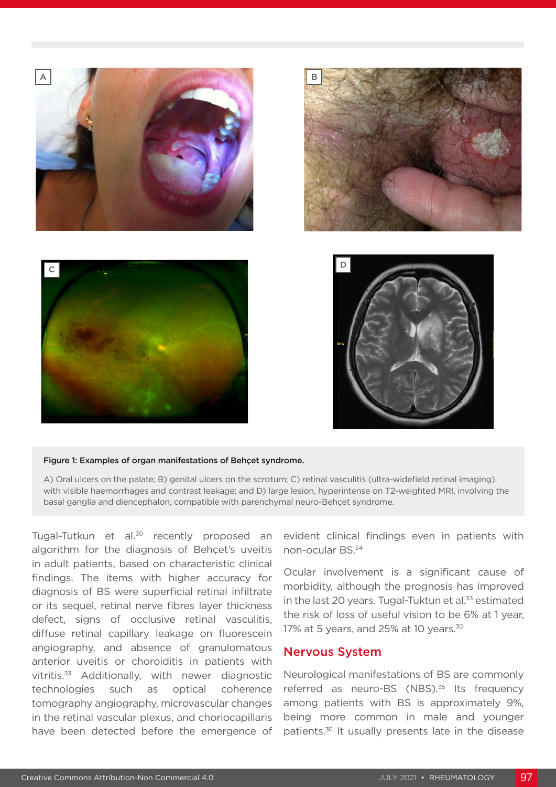







#### Figure 1: Examples of organ manifestations of Behçet syndrome.

A) Oral ulcers on the palate; B) genital ulcers on the scrotum; C) retinal vasculitis (ultra-widefield retinal imaging), with visible haemorrhages and contrast leakage; and D) large lesion, hyperintense on T2-weighted MRI, involving the basal ganglia and diencephalon, compatible with parenchymal neuro-Behçet syndrome.

Tugal-Tutkun et al.<sup>30</sup> recently proposed an algorithm for the diagnosis of Behçet's uveitis in adult patients, based on characteristic clinical findings. The items with higher accuracy for diagnosis of BS were superficial retinal infiltrate or its sequel, retinal nerve fibres layer thickness defect, signs of occlusive retinal vasculitis, diffuse retinal capillary leakage on fluorescein angiography, and absence of granulomatous anterior uveitis or choroiditis in patients with vitritis.<sup>33</sup> Additionally, with newer diagnostic technologies such as optical coherence tomography angiography, microvascular changes in the retinal vascular plexus, and choriocapillaris have been detected before the emergence of

evident clinical findings even in patients with non-ocular BS.34

Ocular involvement is a significant cause of morbidity, although the prognosis has improved in the last 20 years. Tugal-Tuktun et al. $33$  estimated the risk of loss of useful vision to be 6% at 1 year, 17% at 5 years, and 25% at 10 years.<sup>30</sup>

#### Nervous System

Neurological manifestations of BS are commonly referred as neuro-BS (NBS).<sup>35</sup> Its frequency among patients with BS is approximately 9%, being more common in male and younger patients.36 It usually presents late in the disease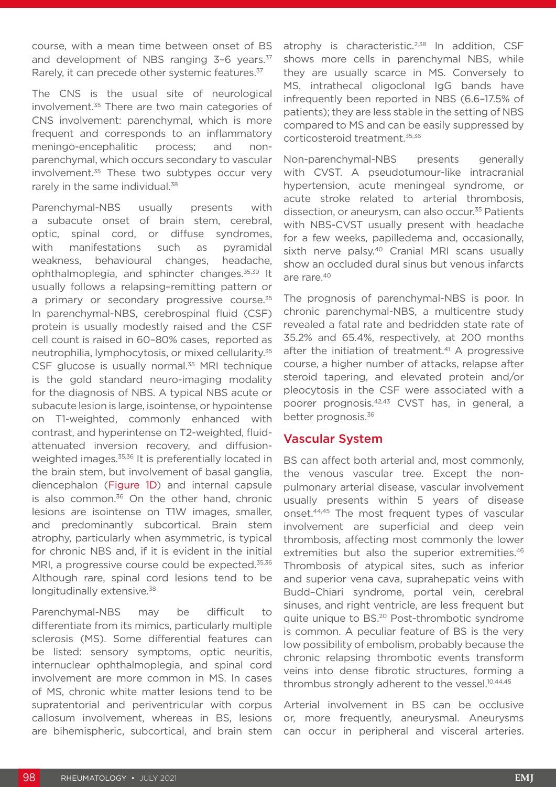course, with a mean time between onset of BS and development of NBS ranging 3-6 years.<sup>37</sup> Rarely, it can precede other systemic features.<sup>37</sup>

The CNS is the usual site of neurological involvement.35 There are two main categories of CNS involvement: parenchymal, which is more frequent and corresponds to an inflammatory meningo-encephalitic process; and nonparenchymal, which occurs secondary to vascular involvement.<sup>35</sup> These two subtypes occur verv rarely in the same individual.<sup>38</sup>

Parenchymal-NBS usually presents with a subacute onset of brain stem, cerebral, optic, spinal cord, or diffuse syndromes, with manifestations such as pyramidal weakness, behavioural changes, headache, ophthalmoplegia, and sphincter changes.35,39 It usually follows a relapsing–remitting pattern or a primary or secondary progressive course.<sup>35</sup> In parenchymal-NBS, cerebrospinal fluid (CSF) protein is usually modestly raised and the CSF cell count is raised in 60–80% cases, reported as neutrophilia, lymphocytosis, or mixed cellularity.35 CSF glucose is usually normal.<sup>35</sup> MRI technique is the gold standard neuro-imaging modality for the diagnosis of NBS. A typical NBS acute or subacute lesion is large, isointense, or hypointense on T1-weighted, commonly enhanced with contrast, and hyperintense on T2-weighted, fluidattenuated inversion recovery, and diffusionweighted images.<sup>35,36</sup> It is preferentially located in the brain stem, but involvement of basal ganglia, diencephalon (Figure 1D) and internal capsule is also common. $36$  On the other hand, chronic lesions are isointense on T1W images, smaller, and predominantly subcortical. Brain stem atrophy, particularly when asymmetric, is typical for chronic NBS and, if it is evident in the initial MRI, a progressive course could be expected.<sup>35,36</sup> Although rare, spinal cord lesions tend to be longitudinally extensive.<sup>38</sup>

Parenchymal-NBS may be difficult to differentiate from its mimics, particularly multiple sclerosis (MS). Some differential features can be listed: sensory symptoms, optic neuritis, internuclear ophthalmoplegia, and spinal cord involvement are more common in MS. In cases of MS, chronic white matter lesions tend to be supratentorial and periventricular with corpus callosum involvement, whereas in BS, lesions are bihemispheric, subcortical, and brain stem

atrophy is characteristic.<sup>2,38</sup> In addition, CSF shows more cells in parenchymal NBS, while they are usually scarce in MS. Conversely to MS, intrathecal oligoclonal IgG bands have infrequently been reported in NBS (6.6–17.5% of patients); they are less stable in the setting of NBS compared to MS and can be easily suppressed by corticosteroid treatment.35,36

Non-parenchymal-NBS presents generally with CVST. A pseudotumour-like intracranial hypertension, acute meningeal syndrome, or acute stroke related to arterial thrombosis, dissection, or aneurysm, can also occur.<sup>35</sup> Patients with NBS-CVST usually present with headache for a few weeks, papilledema and, occasionally, sixth nerve palsy.<sup>40</sup> Cranial MRI scans usually show an occluded dural sinus but venous infarcts are rare.40

The prognosis of parenchymal-NBS is poor. In chronic parenchymal-NBS, a multicentre study revealed a fatal rate and bedridden state rate of 35.2% and 65.4%, respectively, at 200 months after the initiation of treatment.<sup>41</sup> A progressive course, a higher number of attacks, relapse after steroid tapering, and elevated protein and/or pleocytosis in the CSF were associated with a poorer prognosis.42,43 CVST has, in general, a better prognosis.36

## Vascular System

BS can affect both arterial and, most commonly, the venous vascular tree. Except the nonpulmonary arterial disease, vascular involvement usually presents within 5 years of disease onset.44,45 The most frequent types of vascular involvement are superficial and deep vein thrombosis, affecting most commonly the lower extremities but also the superior extremities.<sup>46</sup> Thrombosis of atypical sites, such as inferior and superior vena cava, suprahepatic veins with Budd–Chiari syndrome, portal vein, cerebral sinuses, and right ventricle, are less frequent but quite unique to BS.20 Post-thrombotic syndrome is common. A peculiar feature of BS is the very low possibility of embolism, probably because the chronic relapsing thrombotic events transform veins into dense fibrotic structures, forming a thrombus strongly adherent to the vessel.<sup>10,44,45</sup>

Arterial involvement in BS can be occlusive or, more frequently, aneurysmal. Aneurysms can occur in peripheral and visceral arteries.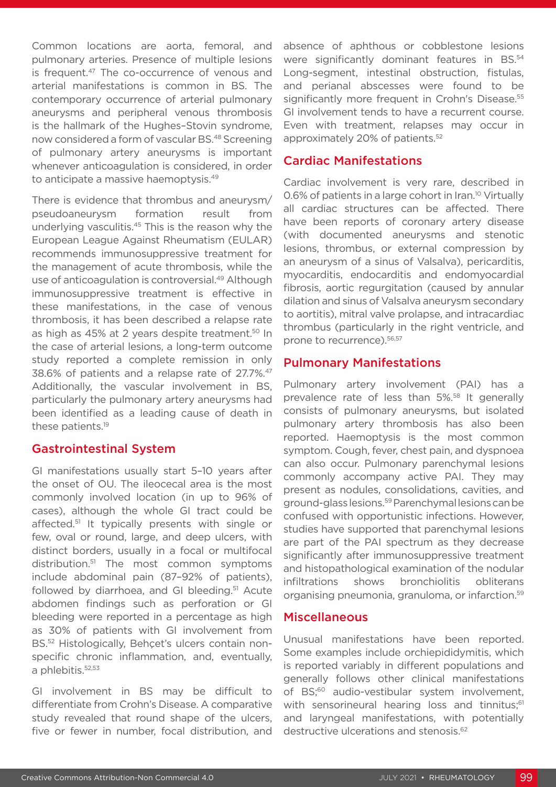Common locations are aorta, femoral, and pulmonary arteries. Presence of multiple lesions is frequent.<sup>47</sup> The co-occurrence of venous and arterial manifestations is common in BS. The contemporary occurrence of arterial pulmonary aneurysms and peripheral venous thrombosis is the hallmark of the Hughes–Stovin syndrome, now considered a form of vascular BS.48 Screening of pulmonary artery aneurysms is important whenever anticoagulation is considered, in order to anticipate a massive haemoptysis.<sup>49</sup>

There is evidence that thrombus and aneurysm/ pseudoaneurysm formation result from underlying vasculitis.45 This is the reason why the European League Against Rheumatism (EULAR) recommends immunosuppressive treatment for the management of acute thrombosis, while the use of anticoagulation is controversial.<sup>49</sup> Although immunosuppressive treatment is effective in these manifestations, in the case of venous thrombosis, it has been described a relapse rate as high as 45% at 2 years despite treatment.<sup>50</sup> In the case of arterial lesions, a long-term outcome study reported a complete remission in only 38.6% of patients and a relapse rate of 27.7%.47 Additionally, the vascular involvement in BS, particularly the pulmonary artery aneurysms had been identified as a leading cause of death in these patients.19

## Gastrointestinal System

GI manifestations usually start 5–10 years after the onset of OU. The ileocecal area is the most commonly involved location (in up to 96% of cases), although the whole GI tract could be affected.<sup>51</sup> It typically presents with single or few, oval or round, large, and deep ulcers, with distinct borders, usually in a focal or multifocal distribution.51 The most common symptoms include abdominal pain (87–92% of patients), followed by diarrhoea, and GI bleeding.<sup>51</sup> Acute abdomen findings such as perforation or GI bleeding were reported in a percentage as high as 30% of patients with GI involvement from BS.52 Histologically, Behçet's ulcers contain nonspecific chronic inflammation, and, eventually, a phlebitis.<sup>52,53</sup>

GI involvement in BS may be difficult to differentiate from Crohn's Disease. A comparative study revealed that round shape of the ulcers, five or fewer in number, focal distribution, and absence of aphthous or cobblestone lesions were significantly dominant features in BS.<sup>54</sup> Long-segment, intestinal obstruction, fistulas, and perianal abscesses were found to be significantly more frequent in Crohn's Disease.<sup>55</sup> GI involvement tends to have a recurrent course. Even with treatment, relapses may occur in approximately 20% of patients.52

# Cardiac Manifestations

Cardiac involvement is very rare, described in 0.6% of patients in a large cohort in Iran.<sup>10</sup> Virtually all cardiac structures can be affected. There have been reports of coronary artery disease (with documented aneurysms and stenotic lesions, thrombus, or external compression by an aneurysm of a sinus of Valsalva), pericarditis, myocarditis, endocarditis and endomyocardial fibrosis, aortic regurgitation (caused by annular dilation and sinus of Valsalva aneurysm secondary to aortitis), mitral valve prolapse, and intracardiac thrombus (particularly in the right ventricle, and prone to recurrence).<sup>56,57</sup>

# Pulmonary Manifestations

Pulmonary artery involvement (PAI) has a prevalence rate of less than 5%.<sup>58</sup> It generally consists of pulmonary aneurysms, but isolated pulmonary artery thrombosis has also been reported. Haemoptysis is the most common symptom. Cough, fever, chest pain, and dyspnoea can also occur. Pulmonary parenchymal lesions commonly accompany active PAI. They may present as nodules, consolidations, cavities, and ground-glass lesions.<sup>59</sup> Parenchymal lesions can be confused with opportunistic infections. However, studies have supported that parenchymal lesions are part of the PAI spectrum as they decrease significantly after immunosuppressive treatment and histopathological examination of the nodular infiltrations shows bronchiolitis obliterans organising pneumonia, granuloma, or infarction.59

## Miscellaneous

Unusual manifestations have been reported. Some examples include orchiepididymitis, which is reported variably in different populations and generally follows other clinical manifestations of BS;<sup>60</sup> audio-vestibular system involvement, with sensorineural hearing loss and tinnitus;<sup>61</sup> and laryngeal manifestations, with potentially destructive ulcerations and stenosis.<sup>62</sup>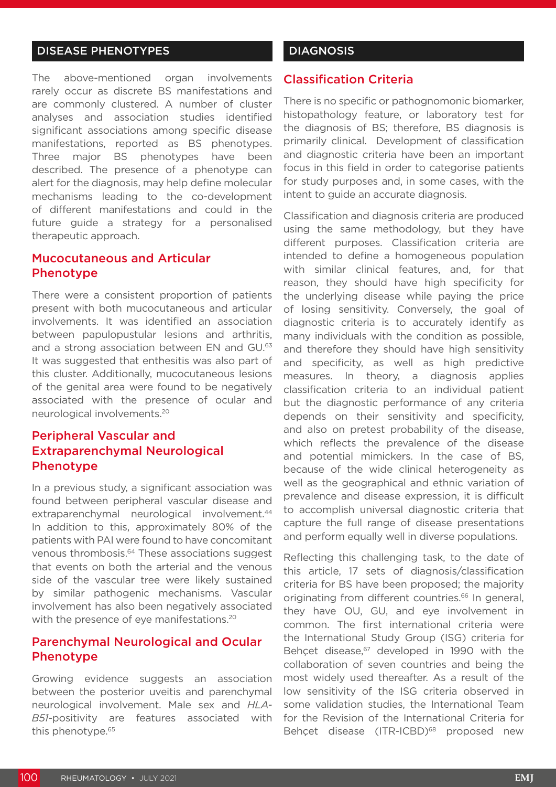# DISEASE PHENOTYPES

The above-mentioned organ involvements rarely occur as discrete BS manifestations and are commonly clustered. A number of cluster analyses and association studies identified significant associations among specific disease manifestations, reported as BS phenotypes. Three major BS phenotypes have been described. The presence of a phenotype can alert for the diagnosis, may help define molecular mechanisms leading to the co-development of different manifestations and could in the future guide a strategy for a personalised therapeutic approach.

# Mucocutaneous and Articular Phenotype

There were a consistent proportion of patients present with both mucocutaneous and articular involvements. It was identified an association between papulopustular lesions and arthritis, and a strong association between EN and GU.<sup>63</sup> It was suggested that enthesitis was also part of this cluster. Additionally, mucocutaneous lesions of the genital area were found to be negatively associated with the presence of ocular and neurological involvements.20

# Peripheral Vascular and Extraparenchymal Neurological **Phenotype**

In a previous study, a significant association was found between peripheral vascular disease and extraparenchymal neurological involvement.<sup>44</sup> In addition to this, approximately 80% of the patients with PAI were found to have concomitant venous thrombosis.<sup>64</sup> These associations suggest that events on both the arterial and the venous side of the vascular tree were likely sustained by similar pathogenic mechanisms. Vascular involvement has also been negatively associated with the presence of eye manifestations.<sup>20</sup>

# Parenchymal Neurological and Ocular **Phenotype**

Growing evidence suggests an association between the posterior uveitis and parenchymal neurological involvement. Male sex and *HLA-B51*-positivity are features associated with this phenotype.<sup>65</sup>

#### **DIAGNOSIS**

#### Classification Criteria

There is no specific or pathognomonic biomarker, histopathology feature, or laboratory test for the diagnosis of BS; therefore, BS diagnosis is primarily clinical. Development of classification and diagnostic criteria have been an important focus in this field in order to categorise patients for study purposes and, in some cases, with the intent to guide an accurate diagnosis.

Classification and diagnosis criteria are produced using the same methodology, but they have different purposes. Classification criteria are intended to define a homogeneous population with similar clinical features, and, for that reason, they should have high specificity for the underlying disease while paying the price of losing sensitivity. Conversely, the goal of diagnostic criteria is to accurately identify as many individuals with the condition as possible, and therefore they should have high sensitivity and specificity, as well as high predictive measures. In theory, a diagnosis applies classification criteria to an individual patient but the diagnostic performance of any criteria depends on their sensitivity and specificity, and also on pretest probability of the disease, which reflects the prevalence of the disease and potential mimickers. In the case of BS, because of the wide clinical heterogeneity as well as the geographical and ethnic variation of prevalence and disease expression, it is difficult to accomplish universal diagnostic criteria that capture the full range of disease presentations and perform equally well in diverse populations.

Reflecting this challenging task, to the date of this article, 17 sets of diagnosis/classification criteria for BS have been proposed; the majority originating from different countries.<sup>66</sup> In general, they have OU, GU, and eye involvement in common. The first international criteria were the International Study Group (ISG) criteria for Behçet disease,<sup>67</sup> developed in 1990 with the collaboration of seven countries and being the most widely used thereafter. As a result of the low sensitivity of the ISG criteria observed in some validation studies, the International Team for the Revision of the International Criteria for Behçet disease (ITR-ICBD)<sup>68</sup> proposed new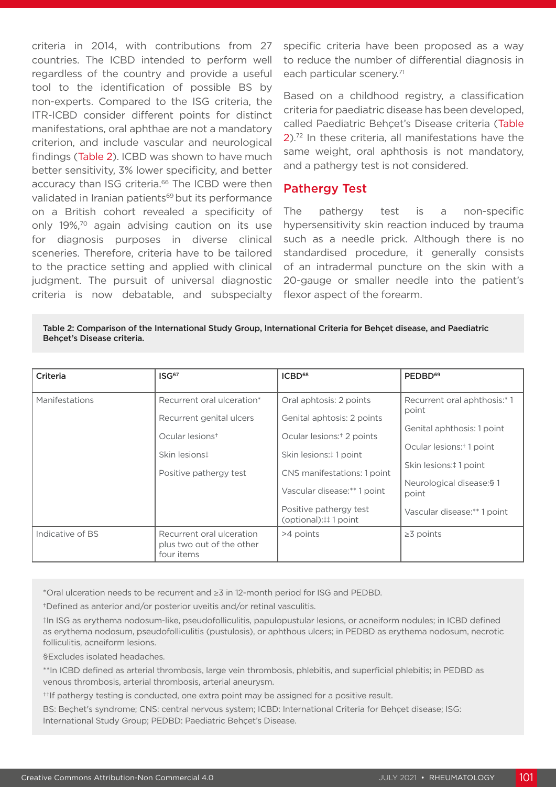criteria in 2014, with contributions from 27 countries. The ICBD intended to perform well regardless of the country and provide a useful tool to the identification of possible BS by non-experts. Compared to the ISG criteria, the ITR-ICBD consider different points for distinct manifestations, oral aphthae are not a mandatory criterion, and include vascular and neurological findings (Table 2). ICBD was shown to have much better sensitivity, 3% lower specificity, and better accuracy than ISG criteria.<sup>66</sup> The ICBD were then validated in Iranian patients<sup>69</sup> but its performance on a British cohort revealed a specificity of only 19%,70 again advising caution on its use for diagnosis purposes in diverse clinical sceneries. Therefore, criteria have to be tailored to the practice setting and applied with clinical judgment. The pursuit of universal diagnostic criteria is now debatable, and subspecialty

specific criteria have been proposed as a way to reduce the number of differential diagnosis in each particular scenery.<sup>71</sup>

Based on a childhood registry, a classification criteria for paediatric disease has been developed, called Paediatric Behçet's Disease criteria (Table 2).72 In these criteria, all manifestations have the same weight, oral aphthosis is not mandatory, and a pathergy test is not considered.

#### Pathergy Test

The pathergy test is a non-specific hypersensitivity skin reaction induced by trauma such as a needle prick. Although there is no standardised procedure, it generally consists of an intradermal puncture on the skin with a 20-gauge or smaller needle into the patient's flexor aspect of the forearm.

Table 2: Comparison of the International Study Group, International Criteria for Behçet disease, and Paediatric Behçet's Disease criteria.

| Criteria         | ISG <sup>67</sup>                                                    | ICBD <sup>68</sup>                             | PEDBD <sup>69</sup>                   |  |  |
|------------------|----------------------------------------------------------------------|------------------------------------------------|---------------------------------------|--|--|
| Manifestations   | Recurrent oral ulceration*                                           | Oral aphtosis: 2 points                        | Recurrent oral aphthosis:* 1<br>point |  |  |
|                  | Recurrent genital ulcers                                             | Genital aphtosis: 2 points                     |                                       |  |  |
|                  | Ocular lesions <sup>+</sup>                                          | Ocular lesions: <sup>+</sup> 2 points          | Genital aphthosis: 1 point            |  |  |
|                  | Skin lesions‡                                                        | Skin lesions: #1 point                         | Ocular lesions: <sup>+</sup> 1 point  |  |  |
|                  | Positive pathergy test                                               | CNS manifestations: 1 point                    | Skin lesions: #1 point                |  |  |
|                  |                                                                      | Vascular disease:** 1 point                    | Neurological disease: § 1<br>point    |  |  |
|                  |                                                                      | Positive pathergy test<br>(optional):##1 point | Vascular disease:** 1 point           |  |  |
| Indicative of BS | Recurrent oral ulceration<br>plus two out of the other<br>four items | >4 points                                      | $\geq$ 3 points                       |  |  |

\*Oral ulceration needs to be recurrent and ≥3 in 12-month period for ISG and PEDBD.

†Defined as anterior and/or posterior uveitis and/or retinal vasculitis.

‡In ISG as erythema nodosum-like, pseudofolliculitis, papulopustular lesions, or acneiform nodules; in ICBD defined as erythema nodosum, pseudofolliculitis (pustulosis), or aphthous ulcers; in PEDBD as erythema nodosum, necrotic folliculitis, acneiform lesions.

§Excludes isolated headaches.

\*\*In ICBD defined as arterial thrombosis, large vein thrombosis, phlebitis, and superficial phlebitis; in PEDBD as venous thrombosis, arterial thrombosis, arterial aneurysm.

††If pathergy testing is conducted, one extra point may be assigned for a positive result.

BS: Beçhet's syndrome; CNS: central nervous system; ICBD: International Criteria for Behçet disease; ISG: International Study Group; PEDBD: Paediatric Behçet's Disease.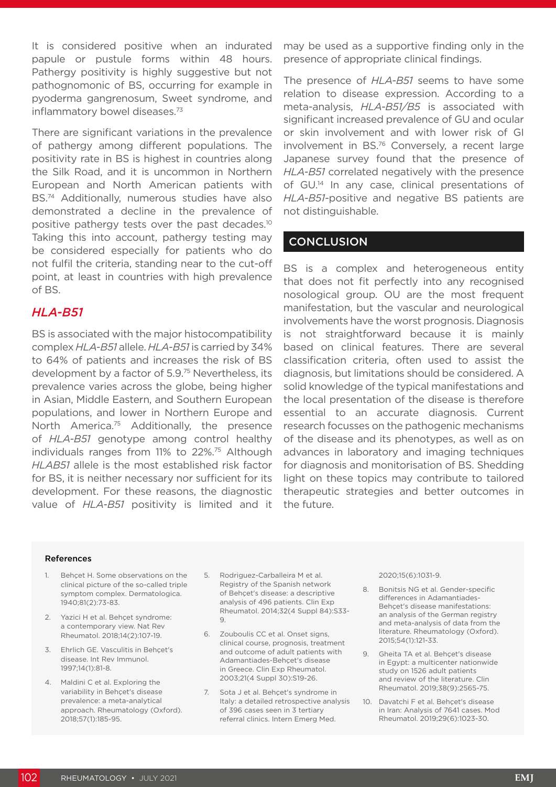It is considered positive when an indurated papule or pustule forms within 48 hours. Pathergy positivity is highly suggestive but not pathognomonic of BS, occurring for example in pyoderma gangrenosum, Sweet syndrome, and inflammatory bowel diseases.73

There are significant variations in the prevalence of pathergy among different populations. The positivity rate in BS is highest in countries along the Silk Road, and it is uncommon in Northern European and North American patients with BS.74 Additionally, numerous studies have also demonstrated a decline in the prevalence of positive pathergy tests over the past decades.10 Taking this into account, pathergy testing may be considered especially for patients who do not fulfil the criteria, standing near to the cut-off point, at least in countries with high prevalence of BS.

# *HLA-B51*

BS is associated with the major histocompatibility complex *HLA-B51* allele. *HLA-B51* is carried by 34% to 64% of patients and increases the risk of BS development by a factor of 5.9.75 Nevertheless, its prevalence varies across the globe, being higher in Asian, Middle Eastern, and Southern European populations, and lower in Northern Europe and North America.<sup>75</sup> Additionally, the presence of *HLA-B51* genotype among control healthy individuals ranges from 11% to 22%.75 Although *HLAB51* allele is the most established risk factor for BS, it is neither necessary nor sufficient for its development. For these reasons, the diagnostic value of *HLA-B51* positivity is limited and it

may be used as a supportive finding only in the presence of appropriate clinical findings.

The presence of *HLA-B51* seems to have some relation to disease expression. According to a meta-analysis, *HLA-B51/B5* is associated with significant increased prevalence of GU and ocular or skin involvement and with lower risk of GI involvement in BS.76 Conversely, a recent large Japanese survey found that the presence of *HLA-B51* correlated negatively with the presence of GU.14 In any case, clinical presentations of *HLA-B51*-positive and negative BS patients are not distinguishable.

## **CONCLUSION**

BS is a complex and heterogeneous entity that does not fit perfectly into any recognised nosological group. OU are the most frequent manifestation, but the vascular and neurological involvements have the worst prognosis. Diagnosis is not straightforward because it is mainly based on clinical features. There are several classification criteria, often used to assist the diagnosis, but limitations should be considered. A solid knowledge of the typical manifestations and the local presentation of the disease is therefore essential to an accurate diagnosis. Current research focusses on the pathogenic mechanisms of the disease and its phenotypes, as well as on advances in laboratory and imaging techniques for diagnosis and monitorisation of BS. Shedding light on these topics may contribute to tailored therapeutic strategies and better outcomes in the future.

#### References

- 1. Behçet H. Some observations on the clinical picture of the so-called triple symptom complex. Dermatologica. 1940;81(2):73-83.
- 2. Yazici H et al. Behçet syndrome: a contemporary view. Nat Rev Rheumatol. 2018;14(2):107-19.
- 3. Ehrlich GE. Vasculitis in Behçet's disease. Int Rev Immunol. 1997;14(1):81-8.
- 4. Maldini C et al. Exploring the variability in Behçet's disease prevalence: a meta-analytical approach. Rheumatology (Oxford). 2018;57(1):185-95.
- 5. Rodriguez-Carballeira M et al. Registry of the Spanish network of Behçet's disease: a descriptive analysis of 496 patients. Clin Exp Rheumatol. 2014;32(4 Suppl 84):S33- 9.
- 6. Zouboulis CC et al. Onset signs, clinical course, prognosis, treatment and outcome of adult patients with Adamantiades-Behçet's disease in Greece. Clin Exp Rheumatol. 2003;21(4 Suppl 30):S19-26.
- 7. Sota J et al. Behçet's syndrome in Italy: a detailed retrospective analysis of 396 cases seen in 3 tertiary referral clinics. Intern Emerg Med.

2020;15(6):1031-9.

- 8. Bonitsis NG et al. Gender-specific differences in Adamantiades-Behçet's disease manifestations: an analysis of the German registry and meta-analysis of data from the literature. Rheumatology (Oxford). 2015;54(1):121-33.
- 9. Gheita TA et al. Behçet's disease in Egypt: a multicenter nationwide study on 1526 adult patients and review of the literature. Clin Rheumatol. 2019;38(9):2565-75.
- 10. Davatchi F et al. Behçet's disease in Iran: Analysis of 7641 cases. Mod Rheumatol. 2019;29(6):1023-30.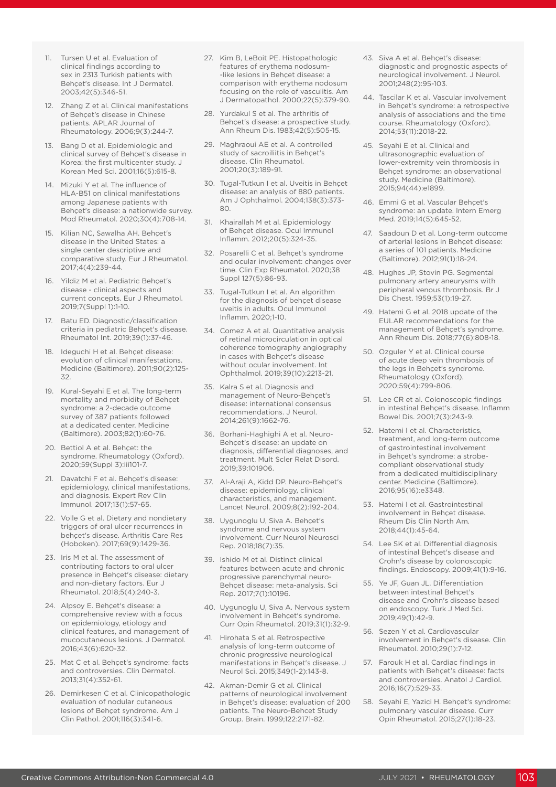- 11. Tursen U et al. Evaluation of clinical findings according to sex in 2313 Turkish patients with Behçet's disease. Int J Dermatol. 2003;42(5):346-51.
- 12. Zhang Z et al. Clinical manifestations of Behçet's disease in Chinese patients. APLAR Journal of Rheumatology. 2006;9(3):244-7.
- 13. Bang D et al. Epidemiologic and clinical survey of Behçet's disease in Korea: the first multicenter study. J Korean Med Sci. 2001;16(5):615-8.
- 14. Mizuki Y et al. The influence of HLA-B51 on clinical manifestations among Japanese patients with Behçet's disease: a nationwide survey. Mod Rheumatol. 2020;30(4):708-14.
- 15. Kilian NC, Sawalha AH. Behçet's disease in the United States: a single center descriptive and comparative study. Eur J Rheumatol. 2017;4(4):239-44.
- 16. Yildiz M et al. Pediatric Behçet's disease - clinical aspects and current concepts. Eur J Rheumatol. 2019;7(Suppl 1):1-10.
- 17. Batu ED. Diagnostic/classification criteria in pediatric Behçet's disease. Rheumatol Int. 2019;39(1):37-46.
- 18. Ideguchi H et al. Behçet disease: evolution of clinical manifestations. Medicine (Baltimore). 2011;90(2):125- 32.
- 19. Kural-Seyahi E et al. The long-term mortality and morbidity of Behçet syndrome: a 2-decade outcome survey of 387 patients followed at a dedicated center. Medicine (Baltimore). 2003;82(1):60-76.
- 20. Bettiol A et al. Behçet: the syndrome. Rheumatology (Oxford). 2020;59(Suppl 3):iii101-7.
- 21. Davatchi F et al. Behçet's disease: epidemiology, clinical manifestations, and diagnosis. Expert Rev Clin Immunol. 2017;13(1):57-65.
- 22. Volle G et al. Dietary and nondietary triggers of oral ulcer recurrences in behçet's disease. Arthritis Care Res (Hoboken). 2017;69(9):1429-36.
- 23. Iris M et al. The assessment of contributing factors to oral ulcer presence in Behçet's disease: dietary and non-dietary factors. Eur J Rheumatol. 2018;5(4):240-3.
- 24. Alpsoy E. Behçet's disease: a comprehensive review with a focus on epidemiology, etiology and clinical features, and management of mucocutaneous lesions. J Dermatol. 2016;43(6):620-32.
- 25. Mat C et al. Behçet's syndrome: facts and controversies. Clin Dermatol. 2013;31(4):352-61.
- 26. Demirkesen C et al. Clinicopathologic evaluation of nodular cutaneous lesions of Behçet syndrome. Am J Clin Pathol. 2001;116(3):341-6.
- 27. Kim B, LeBoit PE. Histopathologic features of erythema nodosum- -like lesions in Behçet disease: a comparison with erythema nodosum focusing on the role of vasculitis. Am J Dermatopathol. 2000;22(5):379-90.
- 28. Yurdakul S et al. The arthritis of Behçet's disease: a prospective study. Ann Rheum Dis. 1983;42(5):505-15.
- 29. Maghraoui AE et al. A controlled study of sacroiliitis in Behçet's disease. Clin Rheumatol. 2001;20(3):189-91.
- 30. Tugal-Tutkun I et al. Uveitis in Behçet disease: an analysis of 880 patients. Am J Ophthalmol. 2004;138(3):373-  $80.$
- 31. Khairallah M et al. Epidemiology of Behçet disease. Ocul Immunol Inflamm. 2012;20(5):324-35.
- 32. Posarelli C et al. Behçet's syndrome and ocular involvement: changes over time. Clin Exp Rheumatol. 2020;38 Suppl 127(5):86-93.
- 33. Tugal-Tutkun I et al. An algorithm for the diagnosis of behçet disease uveitis in adults. Ocul Immunol Inflamm. 2020;1-10.
- 34. Comez A et al. Quantitative analysis of retinal microcirculation in optical coherence tomography angiography in cases with Behçet's disease without ocular involvement. Int Ophthalmol. 2019;39(10):2213-21.
- 35. Kalra S et al. Diagnosis and management of Neuro-Behçet's disease: international consensus recommendations. J Neurol. 2014;261(9):1662-76.
- 36. Borhani-Haghighi A et al. Neuro-Behçet's disease: an update on diagnosis, differential diagnoses, and treatment. Mult Scler Relat Disord. 2019;39:101906.
- 37. Al-Araji A, Kidd DP. Neuro-Behçet's disease: epidemiology, clinical characteristics, and management. Lancet Neurol. 2009;8(2):192-204.
- 38. Uygunoglu U, Siva A. Behçet's syndrome and nervous system involvement. Curr Neurol Neurosci Rep. 2018;18(7):35.
- 39. Ishido M et al. Distinct clinical features between acute and chronic progressive parenchymal neuro-Behçet disease: meta-analysis. Sci Rep. 2017;7(1):10196.
- 40. Uygunoglu U, Siva A. Nervous system involvement in Behçet's syndrome. Curr Opin Rheumatol. 2019;31(1):32-9.
- 41. Hirohata S et al. Retrospective analysis of long-term outcome of chronic progressive neurological manifestations in Behçet's disease. J Neurol Sci. 2015;349(1-2):143-8.
- 42. Akman-Demir G et al. Clinical patterns of neurological involvement in Behçet's disease: evaluation of 200 patients. The Neuro-Behcet Study Group. Brain. 1999;122:2171-82.
- 43. Siva A et al. Behçet's disease: diagnostic and prognostic aspects of neurological involvement. J Neurol. 2001;248(2):95-103.
- 44. Tascilar K et al. Vascular involvement in Behçet's syndrome: a retrospective analysis of associations and the time course. Rheumatology (Oxford). 2014;53(11):2018-22.
- 45. Seyahi E et al. Clinical and ultrasonographic evaluation of lower-extremity vein thrombosis in Behçet syndrome: an observational study. Medicine (Baltimore). 2015;94(44):e1899.
- 46. Emmi G et al. Vascular Behçet's syndrome: an update. Intern Emerg Med. 2019;14(5):645-52.
- 47. Saadoun D et al. Long-term outcome of arterial lesions in Behçet disease: a series of 101 patients. Medicine (Baltimore). 2012;91(1):18-24.
- 48. Hughes JP, Stovin PG. Segmental pulmonary artery aneurysms with peripheral venous thrombosis. Br J Dis Chest. 1959;53(1):19-27.
- 49. Hatemi G et al. 2018 update of the EULAR recommendations for the management of Behçet's syndrome. Ann Rheum Dis. 2018;77(6):808-18.
- 50. Ozguler Y et al. Clinical course of acute deep vein thrombosis of the legs in Behçet's syndrome. Rheumatology (Oxford). 2020;59(4):799-806.
- 51. Lee CR et al. Colonoscopic findings in intestinal Behçet's disease. Inflamm Bowel Dis. 2001;7(3):243-9.
- 52. Hatemi I et al. Characteristics, treatment, and long-term outcome of gastrointestinal involvement in Behçet's syndrome: a strobecompliant observational study from a dedicated multidisciplinary center. Medicine (Baltimore). 2016;95(16):e3348.
- 53. Hatemi I et al. Gastrointestinal involvement in Behçet disease. Rheum Dis Clin North Am. 2018;44(1):45-64.
- 54. Lee SK et al. Differential diagnosis of intestinal Behçet's disease and Crohn's disease by colonoscopic findings. Endoscopy. 2009;41(1):9-16.
- 55. Ye JF, Guan JL. Differentiation between intestinal Behçet's disease and Crohn's disease based on endoscopy. Turk J Med Sci. 2019;49(1):42-9.
- 56. Sezen Y et al. Cardiovascular involvement in Behçet's disease. Clin Rheumatol. 2010;29(1):7-12.
- 57. Farouk H et al. Cardiac findings in patients with Behçet's disease: facts and controversies. Anatol J Cardiol. 2016;16(7):529-33.
- 58. Seyahi E, Yazici H. Behçet's syndrome: pulmonary vascular disease. Curr Opin Rheumatol. 2015;27(1):18-23.